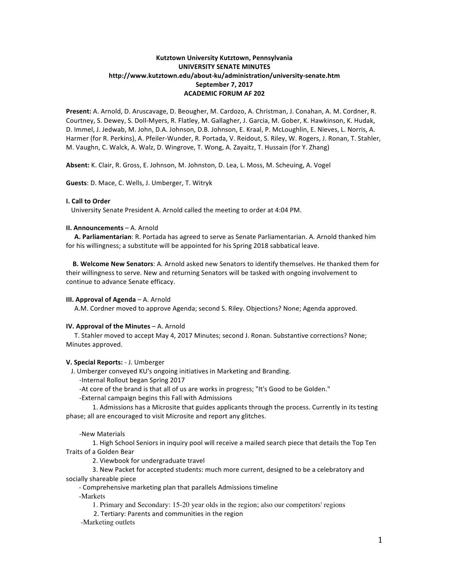# **Kutztown University Kutztown, Pennsylvania UNIVERSITY SENATE MINUTES http://www.kutztown.edu/about-ku/administration/university-senate.htm September 7, 2017 ACADEMIC FORUM AF 202**

**Present:** A. Arnold, D. Aruscavage, D. Beougher, M. Cardozo, A. Christman, J. Conahan, A. M. Cordner, R. Courtney, S. Dewey, S. Doll-Myers, R. Flatley, M. Gallagher, J. Garcia, M. Gober, K. Hawkinson, K. Hudak, D. Immel, J. Jedwab, M. John, D.A. Johnson, D.B. Johnson, E. Kraal, P. McLoughlin, E. Nieves, L. Norris, A. Harmer (for R. Perkins), A. Pfeiler-Wunder, R. Portada, V. Reidout, S. Riley, W. Rogers, J. Ronan, T. Stahler, M. Vaughn, C. Walck, A. Walz, D. Wingrove, T. Wong, A. Zayaitz, T. Hussain (for Y. Zhang)

Absent: K. Clair, R. Gross, E. Johnson, M. Johnston, D. Lea, L. Moss, M. Scheuing, A. Vogel

**Guests**: D. Mace, C. Wells, J. Umberger, T. Witryk

## **I. Call to Order**

University Senate President A. Arnold called the meeting to order at 4:04 PM.

#### **II. Announcements** – A. Arnold

A. Parliamentarian: R. Portada has agreed to serve as Senate Parliamentarian. A. Arnold thanked him for his willingness; a substitute will be appointed for his Spring 2018 sabbatical leave.

**B. Welcome New Senators:** A. Arnold asked new Senators to identify themselves. He thanked them for their willingness to serve. New and returning Senators will be tasked with ongoing involvement to continue to advance Senate efficacy.

#### **III. Approval of Agenda** – A. Arnold

A.M. Cordner moved to approve Agenda; second S. Riley. Objections? None; Agenda approved.

### **IV. Approval of the Minutes** – A. Arnold

T. Stahler moved to accept May 4, 2017 Minutes; second J. Ronan. Substantive corrections? None; Minutes approved.

## **V. Special Reports:** - J. Umberger

J. Umberger conveyed KU's ongoing initiatives in Marketing and Branding.

-Internal Rollout began Spring 2017

-At core of the brand is that all of us are works in progress; "It's Good to be Golden."

-External campaign begins this Fall with Admissions

1. Admissions has a Microsite that guides applicants through the process. Currently in its testing phase; all are encouraged to visit Microsite and report any glitches.

#### -New Materials

1. High School Seniors in inquiry pool will receive a mailed search piece that details the Top Ten Traits of a Golden Bear

2. Viewbook for undergraduate travel

3. New Packet for accepted students: much more current, designed to be a celebratory and socially shareable piece

- Comprehensive marketing plan that parallels Admissions timeline

-Markets

1. Primary and Secondary: 15-20 year olds in the region; also our competitors' regions

2. Tertiary: Parents and communities in the region

-Marketing outlets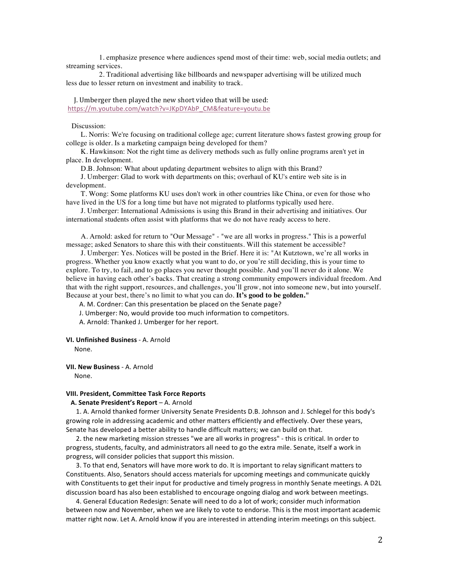1. emphasize presence where audiences spend most of their time: web, social media outlets; and streaming services.

2. Traditional advertising like billboards and newspaper advertising will be utilized much less due to lesser return on investment and inability to track.

J. Umberger then played the new short video that will be used: https://m.youtube.com/watch?v=JKpDYAbP\_CM&feature=youtu.be

## Discussion:

L. Norris: We're focusing on traditional college age; current literature shows fastest growing group for college is older. Is a marketing campaign being developed for them?

K. Hawkinson: Not the right time as delivery methods such as fully online programs aren't yet in place. In development.

D.B. Johnson: What about updating department websites to align with this Brand?

J. Umberger: Glad to work with departments on this; overhaul of KU's entire web site is in development.

T. Wong: Some platforms KU uses don't work in other countries like China, or even for those who have lived in the US for a long time but have not migrated to platforms typically used here.

J. Umberger: International Admissions is using this Brand in their advertising and initiatives. Our international students often assist with platforms that we do not have ready access to here.

A. Arnold: asked for return to "Our Message" - "we are all works in progress." This is a powerful message; asked Senators to share this with their constituents. Will this statement be accessible?

J. Umberger: Yes. Notices will be posted in the Brief. Here it is: "At Kutztown, we're all works in progress. Whether you know exactly what you want to do, or you're still deciding, this is your time to explore. To try, to fail, and to go places you never thought possible. And you'll never do it alone. We believe in having each other's backs. That creating a strong community empowers individual freedom. And that with the right support, resources, and challenges, you'll grow, not into someone new, but into yourself. Because at your best, there's no limit to what you can do. **It's good to be golden."**

A. M. Cordner: Can this presentation be placed on the Senate page?

J. Umberger: No, would provide too much information to competitors.

A. Arnold: Thanked J. Umberger for her report.

#### **VI. Unfinished Business - A. Arnold**

 None.

**VII. New Business - A. Arnold** 

 None.

#### **VIII. President, Committee Task Force Reports**

## **A. Senate President's Report** – A. Arnold

1. A. Arnold thanked former University Senate Presidents D.B. Johnson and J. Schlegel for this body's growing role in addressing academic and other matters efficiently and effectively. Over these years, Senate has developed a better ability to handle difficult matters; we can build on that.

2. the new marketing mission stresses "we are all works in progress" - this is critical. In order to progress, students, faculty, and administrators all need to go the extra mile. Senate, itself a work in progress, will consider policies that support this mission.

3. To that end, Senators will have more work to do. It is important to relay significant matters to Constituents. Also, Senators should access materials for upcoming meetings and communicate quickly with Constituents to get their input for productive and timely progress in monthly Senate meetings. A D2L discussion board has also been established to encourage ongoing dialog and work between meetings.

4. General Education Redesign: Senate will need to do a lot of work; consider much information between now and November, when we are likely to vote to endorse. This is the most important academic matter right now. Let A. Arnold know if you are interested in attending interim meetings on this subject.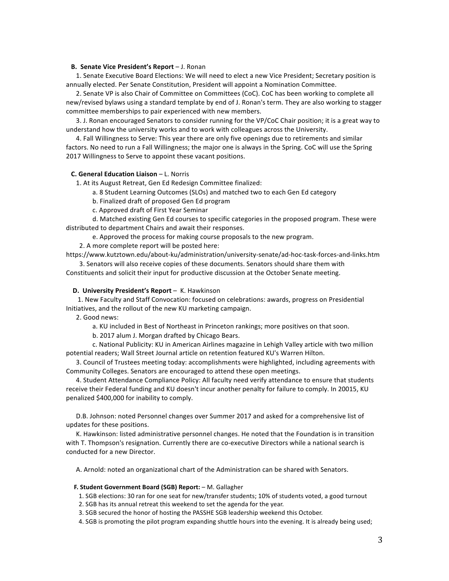#### **B.** Senate Vice President's Report – J. Ronan

1. Senate Executive Board Elections: We will need to elect a new Vice President; Secretary position is annually elected. Per Senate Constitution, President will appoint a Nomination Committee.

2. Senate VP is also Chair of Committee on Committees (CoC). CoC has been working to complete all new/revised bylaws using a standard template by end of J. Ronan's term. They are also working to stagger committee memberships to pair experienced with new members.

3. J. Ronan encouraged Senators to consider running for the VP/CoC Chair position; it is a great way to understand how the university works and to work with colleagues across the University.

4. Fall Willingness to Serve: This year there are only five openings due to retirements and similar factors. No need to run a Fall Willingness; the major one is always in the Spring. CoC will use the Spring 2017 Willingness to Serve to appoint these vacant positions.

## **C.** General Education Liaison – L. Norris

1. At its August Retreat, Gen Ed Redesign Committee finalized:

a. 8 Student Learning Outcomes (SLOs) and matched two to each Gen Ed category

b. Finalized draft of proposed Gen Ed program

c. Approved draft of First Year Seminar

d. Matched existing Gen Ed courses to specific categories in the proposed program. These were distributed to department Chairs and await their responses.

e. Approved the process for making course proposals to the new program.

2. A more complete report will be posted here:

https://www.kutztown.edu/about-ku/administration/university-senate/ad-hoc-task-forces-and-links.htm 3. Senators will also receive copies of these documents. Senators should share them with

Constituents and solicit their input for productive discussion at the October Senate meeting.

## **D.** University President's Report – K. Hawkinson

1. New Faculty and Staff Convocation: focused on celebrations: awards, progress on Presidential Initiatives, and the rollout of the new KU marketing campaign.

2. Good news:

a. KU included in Best of Northeast in Princeton rankings; more positives on that soon.

b. 2017 alum J. Morgan drafted by Chicago Bears.

c. National Publicity: KU in American Airlines magazine in Lehigh Valley article with two million potential readers; Wall Street Journal article on retention featured KU's Warren Hilton.

3. Council of Trustees meeting today: accomplishments were highlighted, including agreements with Community Colleges. Senators are encouraged to attend these open meetings.

4. Student Attendance Compliance Policy: All faculty need verify attendance to ensure that students receive their Federal funding and KU doesn't incur another penalty for failure to comply. In 20015, KU penalized \$400,000 for inability to comply.

D.B. Johnson: noted Personnel changes over Summer 2017 and asked for a comprehensive list of updates for these positions.

K. Hawkinson: listed administrative personnel changes. He noted that the Foundation is in transition with T. Thompson's resignation. Currently there are co-executive Directors while a national search is conducted for a new Director.

A. Arnold: noted an organizational chart of the Administration can be shared with Senators.

#### **F. Student Government Board (SGB) Report:** – M. Gallagher

1. SGB elections: 30 ran for one seat for new/transfer students; 10% of students voted, a good turnout

2. SGB has its annual retreat this weekend to set the agenda for the year.

3. SGB secured the honor of hosting the PASSHE SGB leadership weekend this October.

4. SGB is promoting the pilot program expanding shuttle hours into the evening. It is already being used;